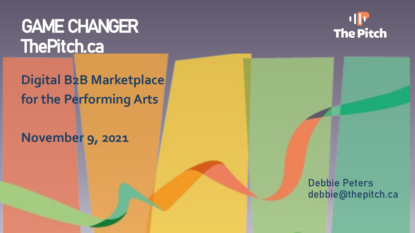## GAME CHANGER ThePitch.ca

**The Pitch** 

**Digital B2B Marketplace for the Performing Arts**

#### **November 9, 2021**

Debbie Peters debbie@thepitch.ca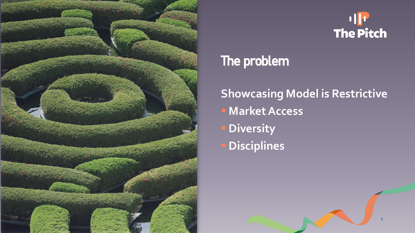

# The Pitch

2

## The problem

## **Showcasing Model is Restrictive Market Access Diversity Disciplines**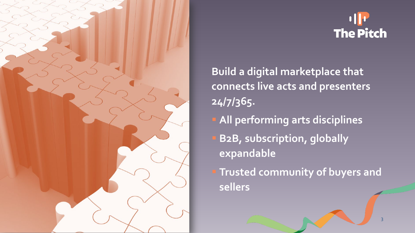

**The Pitch** 

3

**Build a digital marketplace that connects live acts and presenters 24/7/365.** 

- **All performing arts disciplines B2B, subscription, globally expandable**
- **Trusted community of buyers and sellers**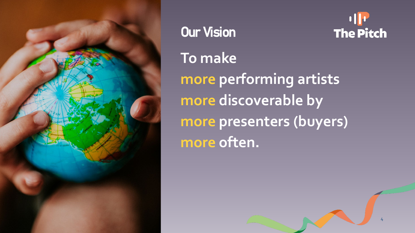

Our Vision **To make more performing artists more discoverable by more presenters (buyers) more often.** 



4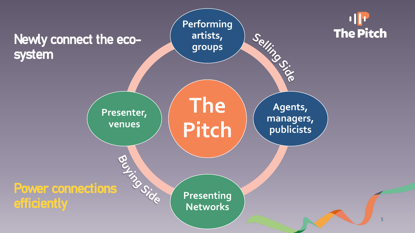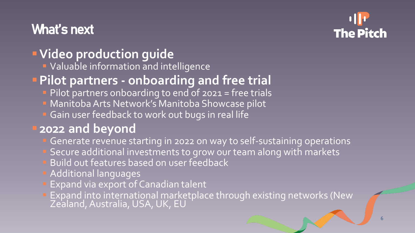## What's next



### **Video production guide**

**U** Valuable information and intelligence

#### **Pilot partners - onboarding and free trial**

- Pilot partners onboarding to end of 2021 = free trials
- Manitoba Arts Network's Manitoba Showcase pilot
- Gain user feedback to work out bugs in real life

### **2022 and beyond**

- Generate revenue starting in 2022 on way to self-sustaining operations Secure additional investments to grow our team along with markets
- Build out features based on user feedback
- Additional languages
- Expand via export of Canadian talent
- **Expand into international marketplace through existing networks (New** Zealand, Australia, USA, UK, EU